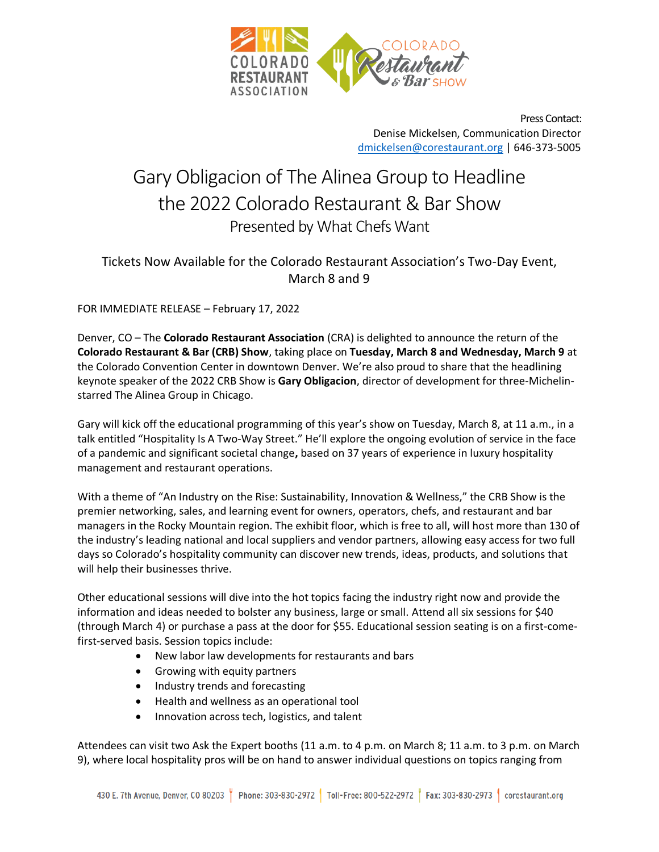

Press Contact: Denise Mickelsen, Communication Director [dmickelsen@corestaurant.org](mailto:dmickelsen@corestaurant.org) | 646-373-5005

## Gary Obligacion of The Alinea Group to Headline the 2022 Colorado Restaurant & Bar Show Presented by What Chefs Want

## Tickets Now Available for the Colorado Restaurant Association's Two-Day Event, March 8 and 9

FOR IMMEDIATE RELEASE – February 17, 2022

Denver, CO – The **Colorado Restaurant Association** (CRA) is delighted to announce the return of the **Colorado Restaurant & Bar (CRB) Show**, taking place on **Tuesday, March 8 and Wednesday, March 9** at the Colorado Convention Center in downtown Denver. We're also proud to share that the headlining keynote speaker of the 2022 CRB Show is **Gary Obligacion**, director of development for three-Michelinstarred The Alinea Group in Chicago.

Gary will kick off the educational programming of this year's show on Tuesday, March 8, at 11 a.m., in a talk entitled "Hospitality Is A Two-Way Street." He'll explore the ongoing evolution of service in the face of a pandemic and significant societal change**,** based on 37 years of experience in luxury hospitality management and restaurant operations.

With a theme of "An Industry on the Rise: Sustainability, Innovation & Wellness," the CRB Show is the premier networking, sales, and learning event for owners, operators, chefs, and restaurant and bar managers in the Rocky Mountain region. The exhibit floor, which is free to all, will host more than 130 of the industry's leading national and local suppliers and vendor partners, allowing easy access for two full days so Colorado's hospitality community can discover new trends, ideas, products, and solutions that will help their businesses thrive.

Other educational sessions will dive into the hot topics facing the industry right now and provide the information and ideas needed to bolster any business, large or small. Attend all six sessions for \$40 (through March 4) or purchase a pass at the door for \$55. Educational session seating is on a first-comefirst-served basis. Session topics include:

- New labor law developments for restaurants and bars
- Growing with equity partners
- Industry trends and forecasting
- Health and wellness as an operational tool
- Innovation across tech, logistics, and talent

Attendees can visit two Ask the Expert booths (11 a.m. to 4 p.m. on March 8; 11 a.m. to 3 p.m. on March 9), where local hospitality pros will be on hand to answer individual questions on topics ranging from